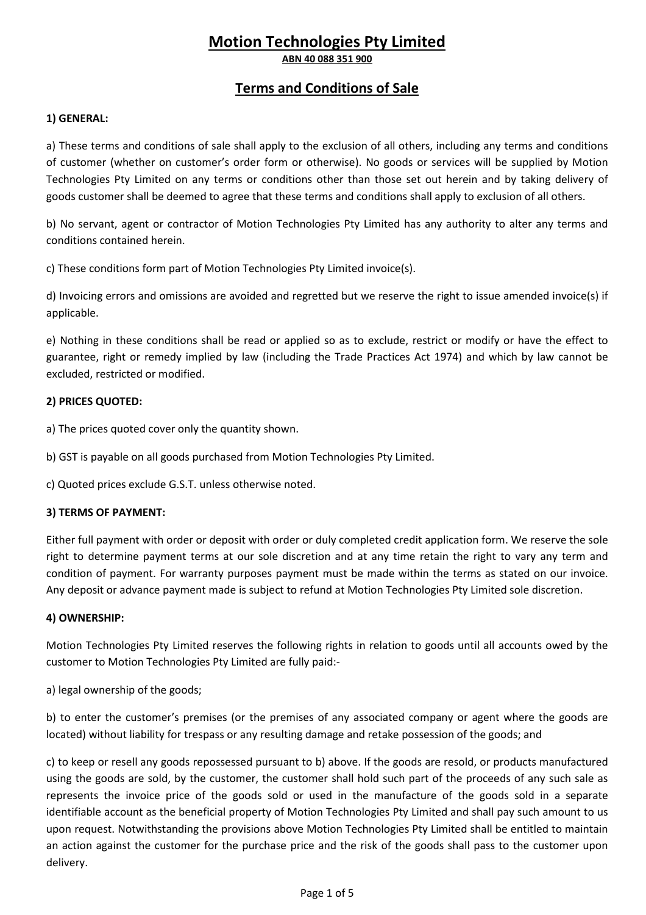# **Motion Technologies Pty Limited**

**ABN 40 088 351 900** 

## **Terms and Conditions of Sale**

### **1) GENERAL:**

a) These terms and conditions of sale shall apply to the exclusion of all others, including any terms and conditions of customer (whether on customer's order form or otherwise). No goods or services will be supplied by Motion Technologies Pty Limited on any terms or conditions other than those set out herein and by taking delivery of goods customer shall be deemed to agree that these terms and conditions shall apply to exclusion of all others.

b) No servant, agent or contractor of Motion Technologies Pty Limited has any authority to alter any terms and conditions contained herein.

c) These conditions form part of Motion Technologies Pty Limited invoice(s).

d) Invoicing errors and omissions are avoided and regretted but we reserve the right to issue amended invoice(s) if applicable.

e) Nothing in these conditions shall be read or applied so as to exclude, restrict or modify or have the effect to guarantee, right or remedy implied by law (including the Trade Practices Act 1974) and which by law cannot be excluded, restricted or modified.

#### **2) PRICES QUOTED:**

a) The prices quoted cover only the quantity shown.

b) GST is payable on all goods purchased from Motion Technologies Pty Limited.

c) Quoted prices exclude G.S.T. unless otherwise noted.

#### **3) TERMS OF PAYMENT:**

Either full payment with order or deposit with order or duly completed credit application form. We reserve the sole right to determine payment terms at our sole discretion and at any time retain the right to vary any term and condition of payment. For warranty purposes payment must be made within the terms as stated on our invoice. Any deposit or advance payment made is subject to refund at Motion Technologies Pty Limited sole discretion.

#### **4) OWNERSHIP:**

Motion Technologies Pty Limited reserves the following rights in relation to goods until all accounts owed by the customer to Motion Technologies Pty Limited are fully paid:-

a) legal ownership of the goods;

b) to enter the customer's premises (or the premises of any associated company or agent where the goods are located) without liability for trespass or any resulting damage and retake possession of the goods; and

c) to keep or resell any goods repossessed pursuant to b) above. If the goods are resold, or products manufactured using the goods are sold, by the customer, the customer shall hold such part of the proceeds of any such sale as represents the invoice price of the goods sold or used in the manufacture of the goods sold in a separate identifiable account as the beneficial property of Motion Technologies Pty Limited and shall pay such amount to us upon request. Notwithstanding the provisions above Motion Technologies Pty Limited shall be entitled to maintain an action against the customer for the purchase price and the risk of the goods shall pass to the customer upon delivery.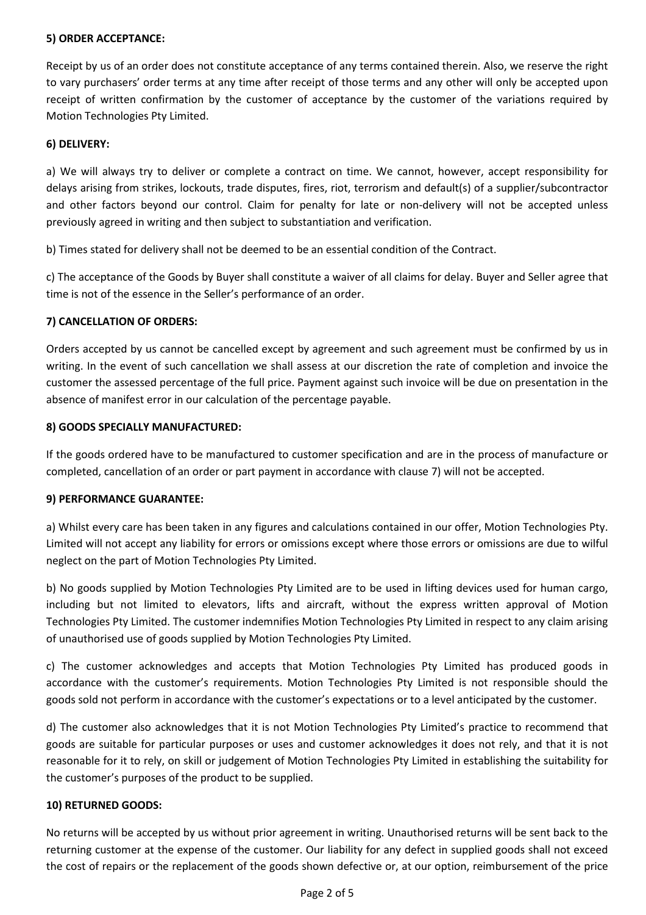#### **5) ORDER ACCEPTANCE:**

Receipt by us of an order does not constitute acceptance of any terms contained therein. Also, we reserve the right to vary purchasers' order terms at any time after receipt of those terms and any other will only be accepted upon receipt of written confirmation by the customer of acceptance by the customer of the variations required by Motion Technologies Pty Limited.

#### **6) DELIVERY:**

a) We will always try to deliver or complete a contract on time. We cannot, however, accept responsibility for delays arising from strikes, lockouts, trade disputes, fires, riot, terrorism and default(s) of a supplier/subcontractor and other factors beyond our control. Claim for penalty for late or non-delivery will not be accepted unless previously agreed in writing and then subject to substantiation and verification.

b) Times stated for delivery shall not be deemed to be an essential condition of the Contract.

c) The acceptance of the Goods by Buyer shall constitute a waiver of all claims for delay. Buyer and Seller agree that time is not of the essence in the Seller's performance of an order.

#### **7) CANCELLATION OF ORDERS:**

Orders accepted by us cannot be cancelled except by agreement and such agreement must be confirmed by us in writing. In the event of such cancellation we shall assess at our discretion the rate of completion and invoice the customer the assessed percentage of the full price. Payment against such invoice will be due on presentation in the absence of manifest error in our calculation of the percentage payable.

#### **8) GOODS SPECIALLY MANUFACTURED:**

If the goods ordered have to be manufactured to customer specification and are in the process of manufacture or completed, cancellation of an order or part payment in accordance with clause 7) will not be accepted.

#### **9) PERFORMANCE GUARANTEE:**

a) Whilst every care has been taken in any figures and calculations contained in our offer, Motion Technologies Pty. Limited will not accept any liability for errors or omissions except where those errors or omissions are due to wilful neglect on the part of Motion Technologies Pty Limited.

b) No goods supplied by Motion Technologies Pty Limited are to be used in lifting devices used for human cargo, including but not limited to elevators, lifts and aircraft, without the express written approval of Motion Technologies Pty Limited. The customer indemnifies Motion Technologies Pty Limited in respect to any claim arising of unauthorised use of goods supplied by Motion Technologies Pty Limited.

c) The customer acknowledges and accepts that Motion Technologies Pty Limited has produced goods in accordance with the customer's requirements. Motion Technologies Pty Limited is not responsible should the goods sold not perform in accordance with the customer's expectations or to a level anticipated by the customer.

d) The customer also acknowledges that it is not Motion Technologies Pty Limited's practice to recommend that goods are suitable for particular purposes or uses and customer acknowledges it does not rely, and that it is not reasonable for it to rely, on skill or judgement of Motion Technologies Pty Limited in establishing the suitability for the customer's purposes of the product to be supplied.

#### **10) RETURNED GOODS:**

No returns will be accepted by us without prior agreement in writing. Unauthorised returns will be sent back to the returning customer at the expense of the customer. Our liability for any defect in supplied goods shall not exceed the cost of repairs or the replacement of the goods shown defective or, at our option, reimbursement of the price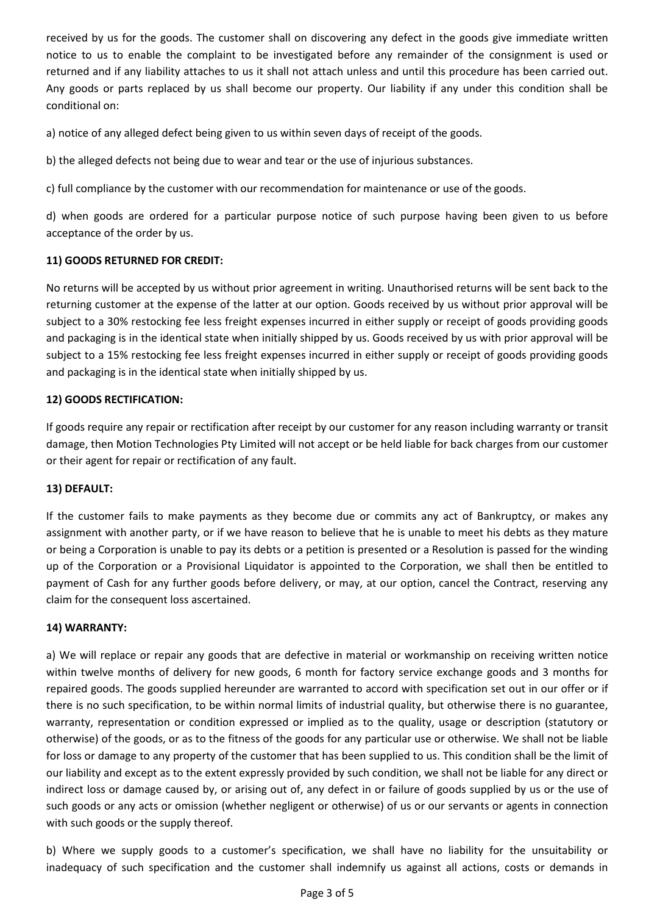received by us for the goods. The customer shall on discovering any defect in the goods give immediate written notice to us to enable the complaint to be investigated before any remainder of the consignment is used or returned and if any liability attaches to us it shall not attach unless and until this procedure has been carried out. Any goods or parts replaced by us shall become our property. Our liability if any under this condition shall be conditional on:

a) notice of any alleged defect being given to us within seven days of receipt of the goods.

b) the alleged defects not being due to wear and tear or the use of injurious substances.

c) full compliance by the customer with our recommendation for maintenance or use of the goods.

d) when goods are ordered for a particular purpose notice of such purpose having been given to us before acceptance of the order by us.

### **11) GOODS RETURNED FOR CREDIT:**

No returns will be accepted by us without prior agreement in writing. Unauthorised returns will be sent back to the returning customer at the expense of the latter at our option. Goods received by us without prior approval will be subject to a 30% restocking fee less freight expenses incurred in either supply or receipt of goods providing goods and packaging is in the identical state when initially shipped by us. Goods received by us with prior approval will be subject to a 15% restocking fee less freight expenses incurred in either supply or receipt of goods providing goods and packaging is in the identical state when initially shipped by us.

### **12) GOODS RECTIFICATION:**

If goods require any repair or rectification after receipt by our customer for any reason including warranty or transit damage, then Motion Technologies Pty Limited will not accept or be held liable for back charges from our customer or their agent for repair or rectification of any fault.

### **13) DEFAULT:**

If the customer fails to make payments as they become due or commits any act of Bankruptcy, or makes any assignment with another party, or if we have reason to believe that he is unable to meet his debts as they mature or being a Corporation is unable to pay its debts or a petition is presented or a Resolution is passed for the winding up of the Corporation or a Provisional Liquidator is appointed to the Corporation, we shall then be entitled to payment of Cash for any further goods before delivery, or may, at our option, cancel the Contract, reserving any claim for the consequent loss ascertained.

### **14) WARRANTY:**

a) We will replace or repair any goods that are defective in material or workmanship on receiving written notice within twelve months of delivery for new goods, 6 month for factory service exchange goods and 3 months for repaired goods. The goods supplied hereunder are warranted to accord with specification set out in our offer or if there is no such specification, to be within normal limits of industrial quality, but otherwise there is no guarantee, warranty, representation or condition expressed or implied as to the quality, usage or description (statutory or otherwise) of the goods, or as to the fitness of the goods for any particular use or otherwise. We shall not be liable for loss or damage to any property of the customer that has been supplied to us. This condition shall be the limit of our liability and except as to the extent expressly provided by such condition, we shall not be liable for any direct or indirect loss or damage caused by, or arising out of, any defect in or failure of goods supplied by us or the use of such goods or any acts or omission (whether negligent or otherwise) of us or our servants or agents in connection with such goods or the supply thereof.

b) Where we supply goods to a customer's specification, we shall have no liability for the unsuitability or inadequacy of such specification and the customer shall indemnify us against all actions, costs or demands in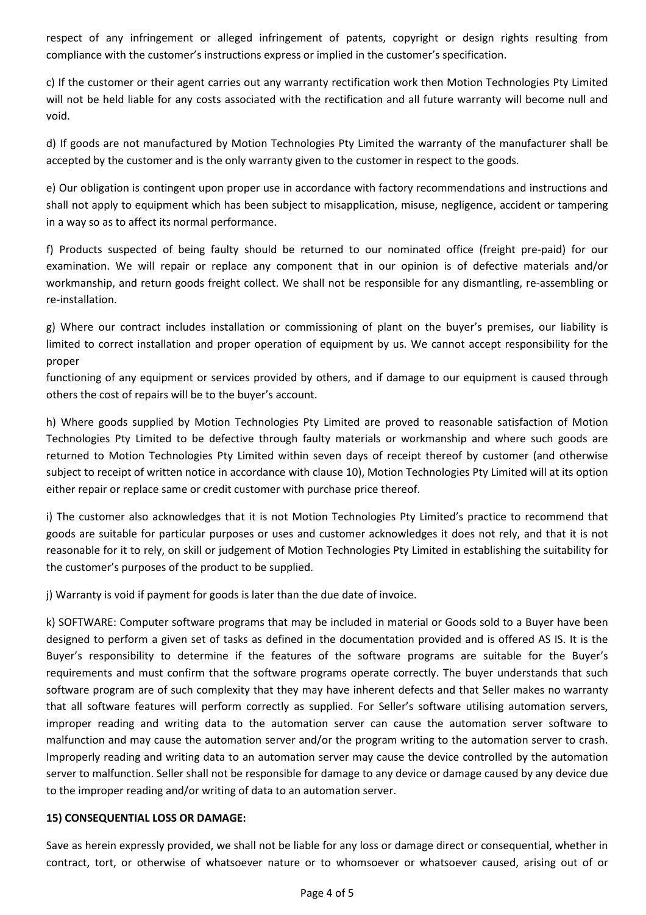respect of any infringement or alleged infringement of patents, copyright or design rights resulting from compliance with the customer's instructions express or implied in the customer's specification.

c) If the customer or their agent carries out any warranty rectification work then Motion Technologies Pty Limited will not be held liable for any costs associated with the rectification and all future warranty will become null and void.

d) If goods are not manufactured by Motion Technologies Pty Limited the warranty of the manufacturer shall be accepted by the customer and is the only warranty given to the customer in respect to the goods.

e) Our obligation is contingent upon proper use in accordance with factory recommendations and instructions and shall not apply to equipment which has been subject to misapplication, misuse, negligence, accident or tampering in a way so as to affect its normal performance.

f) Products suspected of being faulty should be returned to our nominated office (freight pre-paid) for our examination. We will repair or replace any component that in our opinion is of defective materials and/or workmanship, and return goods freight collect. We shall not be responsible for any dismantling, re-assembling or re-installation.

g) Where our contract includes installation or commissioning of plant on the buyer's premises, our liability is limited to correct installation and proper operation of equipment by us. We cannot accept responsibility for the proper

functioning of any equipment or services provided by others, and if damage to our equipment is caused through others the cost of repairs will be to the buyer's account.

h) Where goods supplied by Motion Technologies Pty Limited are proved to reasonable satisfaction of Motion Technologies Pty Limited to be defective through faulty materials or workmanship and where such goods are returned to Motion Technologies Pty Limited within seven days of receipt thereof by customer (and otherwise subject to receipt of written notice in accordance with clause 10), Motion Technologies Pty Limited will at its option either repair or replace same or credit customer with purchase price thereof.

i) The customer also acknowledges that it is not Motion Technologies Pty Limited's practice to recommend that goods are suitable for particular purposes or uses and customer acknowledges it does not rely, and that it is not reasonable for it to rely, on skill or judgement of Motion Technologies Pty Limited in establishing the suitability for the customer's purposes of the product to be supplied.

j) Warranty is void if payment for goods is later than the due date of invoice.

k) SOFTWARE: Computer software programs that may be included in material or Goods sold to a Buyer have been designed to perform a given set of tasks as defined in the documentation provided and is offered AS IS. It is the Buyer's responsibility to determine if the features of the software programs are suitable for the Buyer's requirements and must confirm that the software programs operate correctly. The buyer understands that such software program are of such complexity that they may have inherent defects and that Seller makes no warranty that all software features will perform correctly as supplied. For Seller's software utilising automation servers, improper reading and writing data to the automation server can cause the automation server software to malfunction and may cause the automation server and/or the program writing to the automation server to crash. Improperly reading and writing data to an automation server may cause the device controlled by the automation server to malfunction. Seller shall not be responsible for damage to any device or damage caused by any device due to the improper reading and/or writing of data to an automation server.

### **15) CONSEQUENTIAL LOSS OR DAMAGE:**

Save as herein expressly provided, we shall not be liable for any loss or damage direct or consequential, whether in contract, tort, or otherwise of whatsoever nature or to whomsoever or whatsoever caused, arising out of or